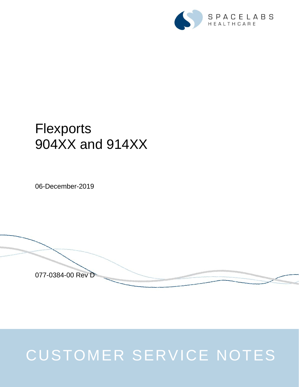

## **Flexports** 904XX and 914XX

06-December-2019

077-0384-00 Rev D

## CUSTOMER SERVICE NOTES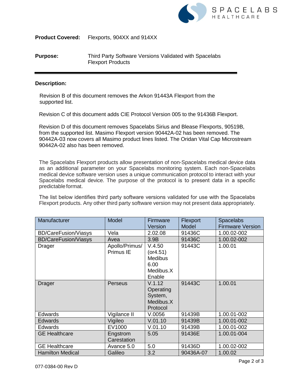

**Product Covered:** Flexports, 904XX and 914XX

## **Purpose:** Third Party Software Versions Validated with Spacelabs Flexport Products

## **Description:**

Revision B of this document removes the Arkon 91443A Flexport from the supported list.

Revision C of this document adds CIE Protocol Version 005 to the 91436B Flexport.

Revision D of this document removes Spacelabs Sirius and Blease Flexports, 90519B, from the supported list. Masimo Flexport version 90442A-02 has been removed. The 90442A-03 now covers all Masimo product lines listed. The Oridan Vital Cap Microstream 90442A-02 also has been removed.

The Spacelabs Flexport products allow presentation of non-Spacelabs medical device data as an additional parameter on your Spacelabs monitoring system. Each non-Spacelabs medical device software version uses a unique communication protocol to interact with your Spacelabs medical device. The purpose of the protocol is to present data in a specific predictable format.

The list below identifies third party software versions validated for use with the Spacelabs Flexport products. Any other third party software version may not present data appropriately.

| Manufacturer                | Model                       | Firmware                                                             | Flexport  | <b>Spacelabs</b>        |
|-----------------------------|-----------------------------|----------------------------------------------------------------------|-----------|-------------------------|
|                             |                             | Version                                                              | Model     | <b>Firmware Version</b> |
| <b>BD/CareFusion/Viasys</b> | Vela                        | 2.02.08                                                              | 91436C    | 1.00.02-002             |
| <b>BD/CareFusion/Viasys</b> | Avea                        | 3.9B                                                                 | 91436C    | 1.00.02-002             |
| Drager                      | Apollo/Primus/<br>Primus IE | V.4.50<br>(or 4.51)<br><b>Medibus</b><br>6.00<br>Medibus.X<br>Enable | 91443C    | 1.00.01                 |
| <b>Drager</b>               | Perseus                     | V.1.12<br>Operating<br>System,<br>Medibus.X<br>Protocol              | 91443C    | 1.00.01                 |
| <b>Edwards</b>              | Vigilance II                | V.0056                                                               | 91439B    | 1.00.01-002             |
| <b>Edwards</b>              | Vigileo                     | V.01.10                                                              | 91439B    | 1.00.01-002             |
| <b>Edwards</b>              | EV1000                      | V.01.10                                                              | 91439B    | 1.00.01-002             |
| <b>GE Healthcare</b>        | Engstrom<br>Carestation     | 5.05                                                                 | 91436E    | 1.00.01-004             |
| <b>GE Healthcare</b>        | Avance 5.0                  | 5.0                                                                  | 91436D    | 1.00.02-002             |
| <b>Hamilton Medical</b>     | Galileo                     | 3.2                                                                  | 90436A-07 | 1.00.02                 |